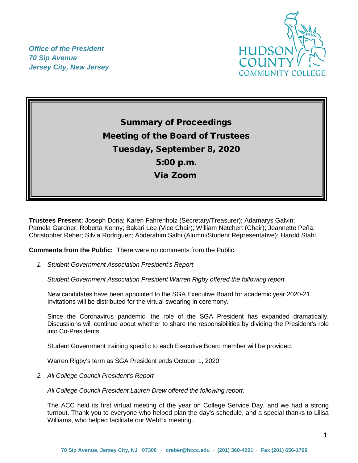

*Office of the President 70 Sip Avenue Jersey City, New Jersey*

> Summary of Proceedings Meeting of the Board of Trustees Tuesday, September 8, 2020 5:00 p.m. Via Zoom

**Trustees Present:** Joseph Doria; Karen Fahrenholz (Secretary/Treasurer); Adamarys Galvin; Pamela Gardner; Roberta Kenny; Bakari Lee (Vice Chair); William Netchert (Chair); Jeannette Peña; Christopher Reber; Silvia Rodriguez; Abderahim Salhi (Alumni/Student Representative); Harold Stahl.

**Comments from the Public:** There were no comments from the Public.

*1. Student Government Association President's Report* 

*Student Government Association President Warren Rigby offered the following report.*

New candidates have been appointed to the SGA Executive Board for academic year 2020-21. Invitations will be distributed for the virtual swearing in ceremony.

Since the Coronavirus pandemic, the role of the SGA President has expanded dramatically. Discussions will continue about whether to share the responsibilities by dividing the President's role into Co-Presidents.

Student Government training specific to each Executive Board member will be provided.

Warren Rigby's term as SGA President ends October 1, 2020

*2. All College Council President's Report* 

*All College Council President Lauren Drew offered the following report.*

The ACC held its first virtual meeting of the year on College Service Day, and we had a strong turnout. Thank you to everyone who helped plan the day's schedule, and a special thanks to Lilisa Williams, who helped facilitate our WebEx meeting.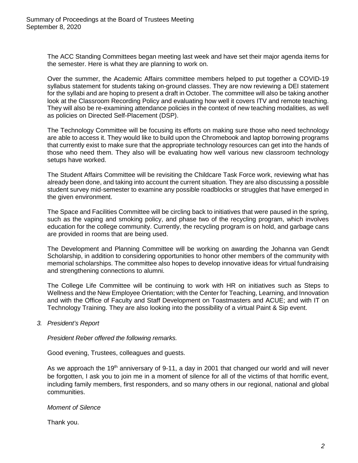The ACC Standing Committees began meeting last week and have set their major agenda items for the semester. Here is what they are planning to work on.

Over the summer, the Academic Affairs committee members helped to put together a COVID-19 syllabus statement for students taking on-ground classes. They are now reviewing a DEI statement for the syllabi and are hoping to present a draft in October. The committee will also be taking another look at the Classroom Recording Policy and evaluating how well it covers ITV and remote teaching. They will also be re-examining attendance policies in the context of new teaching modalities, as well as policies on Directed Self-Placement (DSP).

The Technology Committee will be focusing its efforts on making sure those who need technology are able to access it. They would like to build upon the Chromebook and laptop borrowing programs that currently exist to make sure that the appropriate technology resources can get into the hands of those who need them. They also will be evaluating how well various new classroom technology setups have worked.

The Student Affairs Committee will be revisiting the Childcare Task Force work, reviewing what has already been done, and taking into account the current situation. They are also discussing a possible student survey mid-semester to examine any possible roadblocks or struggles that have emerged in the given environment.

The Space and Facilities Committee will be circling back to initiatives that were paused in the spring, such as the vaping and smoking policy, and phase two of the recycling program, which involves education for the college community. Currently, the recycling program is on hold, and garbage cans are provided in rooms that are being used.

The Development and Planning Committee will be working on awarding the Johanna van Gendt Scholarship, in addition to considering opportunities to honor other members of the community with memorial scholarships. The committee also hopes to develop innovative ideas for virtual fundraising and strengthening connections to alumni.

The College Life Committee will be continuing to work with HR on initiatives such as Steps to Wellness and the New Employee Orientation; with the Center for Teaching, Learning, and Innovation and with the Office of Faculty and Staff Development on Toastmasters and ACUE; and with IT on Technology Training. They are also looking into the possibility of a virtual Paint & Sip event.

*3. President's Report*

*President Reber offered the following remarks.*

Good evening, Trustees, colleagues and guests.

As we approach the 19<sup>th</sup> anniversary of 9-11, a day in 2001 that changed our world and will never be forgotten, I ask you to join me in a moment of silence for all of the victims of that horrific event, including family members, first responders, and so many others in our regional, national and global communities.

*Moment of Silence*

Thank you.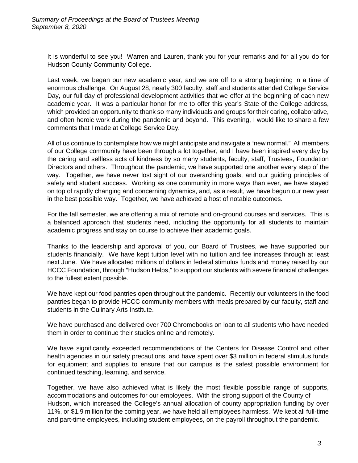It is wonderful to see you! Warren and Lauren, thank you for your remarks and for all you do for Hudson County Community College.

Last week, we began our new academic year, and we are off to a strong beginning in a time of enormous challenge. On August 28, nearly 300 faculty, staff and students attended College Service Day, our full day of professional development activities that we offer at the beginning of each new academic year. It was a particular honor for me to offer this year's State of the College address, which provided an opportunity to thank so many individuals and groups for their caring, collaborative, and often heroic work during the pandemic and beyond. This evening, I would like to share a few comments that I made at College Service Day.

All of us continue to contemplate how we might anticipate and navigate a "new normal." All members of our College community have been through a lot together, and I have been inspired every day by the caring and selfless acts of kindness by so many students, faculty, staff, Trustees, Foundation Directors and others. Throughout the pandemic, we have supported one another every step of the way. Together, we have never lost sight of our overarching goals, and our guiding principles of safety and student success. Working as one community in more ways than ever, we have stayed on top of rapidly changing and concerning dynamics, and, as a result, we have begun our new year in the best possible way. Together, we have achieved a host of notable outcomes.

For the fall semester, we are offering a mix of remote and on-ground courses and services. This is a balanced approach that students need, including the opportunity for all students to maintain academic progress and stay on course to achieve their academic goals.

Thanks to the leadership and approval of you, our Board of Trustees, we have supported our students financially. We have kept tuition level with no tuition and fee increases through at least next June. We have allocated millions of dollars in federal stimulus funds and money raised by our HCCC Foundation, through "Hudson Helps," to support our students with severe financial challenges to the fullest extent possible.

We have kept our food pantries open throughout the pandemic. Recently our volunteers in the food pantries began to provide HCCC community members with meals prepared by our faculty, staff and students in the Culinary Arts Institute.

We have purchased and delivered over 700 Chromebooks on loan to all students who have needed them in order to continue their studies online and remotely.

We have significantly exceeded recommendations of the Centers for Disease Control and other health agencies in our safety precautions, and have spent over \$3 million in federal stimulus funds for equipment and supplies to ensure that our campus is the safest possible environment for continued teaching, learning, and service.

Together, we have also achieved what is likely the most flexible possible range of supports, accommodations and outcomes for our employees. With the strong support of the County of Hudson, which increased the College's annual allocation of county appropriation funding by over 11%, or \$1.9 million for the coming year, we have held all employees harmless. We kept all full-time and part-time employees, including student employees, on the payroll throughout the pandemic.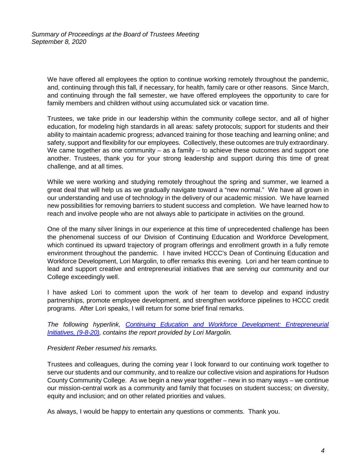We have offered all employees the option to continue working remotely throughout the pandemic, and, continuing through this fall, if necessary, for health, family care or other reasons. Since March, and continuing through the fall semester, we have offered employees the opportunity to care for family members and children without using accumulated sick or vacation time.

Trustees, we take pride in our leadership within the community college sector, and all of higher education, for modeling high standards in all areas: safety protocols; support for students and their ability to maintain academic progress; advanced training for those teaching and learning online; and safety, support and flexibility for our employees. Collectively, these outcomes are truly extraordinary. We came together as one community  $-$  as a family  $-$  to achieve these outcomes and support one another. Trustees, thank you for your strong leadership and support during this time of great challenge, and at all times.

While we were working and studying remotely throughout the spring and summer, we learned a great deal that will help us as we gradually navigate toward a "new normal." We have all grown in our understanding and use of technology in the delivery of our academic mission. We have learned new possibilities for removing barriers to student success and completion. We have learned how to reach and involve people who are not always able to participate in activities on the ground.

One of the many silver linings in our experience at this time of unprecedented challenge has been the phenomenal success of our Division of Continuing Education and Workforce Development, which continued its upward trajectory of program offerings and enrollment growth in a fully remote environment throughout the pandemic. I have invited HCCC's Dean of Continuing Education and Workforce Development, Lori Margolin, to offer remarks this evening. Lori and her team continue to lead and support creative and entrepreneurial initiatives that are serving our community and our College exceedingly well.

I have asked Lori to comment upon the work of her team to develop and expand industry partnerships, promote employee development, and strengthen workforce pipelines to HCCC credit programs. After Lori speaks, I will return for some brief final remarks.

*The following hyperlink, [Continuing Education and Workforce Development: Entrepreneurial](https://myhudson.hccc.edu/BOT%20Docs/Continuing%20Education%20and%20Workforce%20Development%20Entrepreneurial%20Initiatives%2C%209-8-20.pdf)  [Initiatives, \(9-8-20\),](https://myhudson.hccc.edu/BOT%20Docs/Continuing%20Education%20and%20Workforce%20Development%20Entrepreneurial%20Initiatives%2C%209-8-20.pdf) contains the report provided by Lori Margolin.*

## *President Reber resumed his remarks.*

Trustees and colleagues, during the coming year I look forward to our continuing work together to serve our students and our community, and to realize our collective vision and aspirations for Hudson County Community College. As we begin a new year together – new in so many ways – we continue our mission-central work as a community and family that focuses on student success; on diversity, equity and inclusion; and on other related priorities and values.

As always, I would be happy to entertain any questions or comments. Thank you.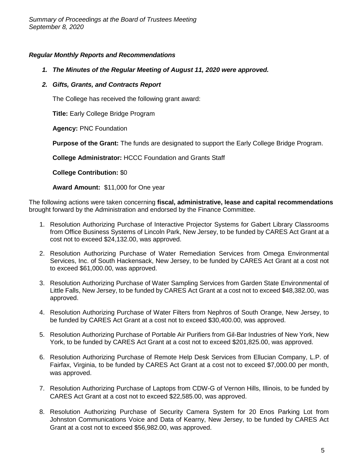## *Regular Monthly Reports and Recommendations*

- *1. The Minutes of the Regular Meeting of August 11, 2020 were approved.*
- *2. Gifts, Grants, and Contracts Report*

The College has received the following grant award:

**Title:** Early College Bridge Program

**Agency:** PNC Foundation

**Purpose of the Grant:** The funds are designated to support the Early College Bridge Program.

**College Administrator:** HCCC Foundation and Grants Staff

**College Contribution:** \$0

**Award Amount:** \$11,000 for One year

The following actions were taken concerning **fiscal, administrative, lease and capital recommendations** brought forward by the Administration and endorsed by the Finance Committee.

- 1. Resolution Authorizing Purchase of Interactive Projector Systems for Gabert Library Classrooms from Office Business Systems of Lincoln Park, New Jersey, to be funded by CARES Act Grant at a cost not to exceed \$24,132.00, was approved.
- 2. Resolution Authorizing Purchase of Water Remediation Services from Omega Environmental Services, Inc. of South Hackensack, New Jersey, to be funded by CARES Act Grant at a cost not to exceed \$61,000.00, was approved.
- 3. Resolution Authorizing Purchase of Water Sampling Services from Garden State Environmental of Little Falls, New Jersey, to be funded by CARES Act Grant at a cost not to exceed \$48,382.00, was approved.
- 4. Resolution Authorizing Purchase of Water Filters from Nephros of South Orange, New Jersey, to be funded by CARES Act Grant at a cost not to exceed \$30,400.00, was approved.
- 5. Resolution Authorizing Purchase of Portable Air Purifiers from Gil-Bar Industries of New York, New York, to be funded by CARES Act Grant at a cost not to exceed \$201,825.00, was approved.
- 6. Resolution Authorizing Purchase of Remote Help Desk Services from Ellucian Company, L.P. of Fairfax, Virginia, to be funded by CARES Act Grant at a cost not to exceed \$7,000.00 per month, was approved.
- 7. Resolution Authorizing Purchase of Laptops from CDW-G of Vernon Hills, Illinois, to be funded by CARES Act Grant at a cost not to exceed \$22,585.00, was approved.
- 8. Resolution Authorizing Purchase of Security Camera System for 20 Enos Parking Lot from Johnston Communications Voice and Data of Kearny, New Jersey, to be funded by CARES Act Grant at a cost not to exceed \$56,982.00, was approved.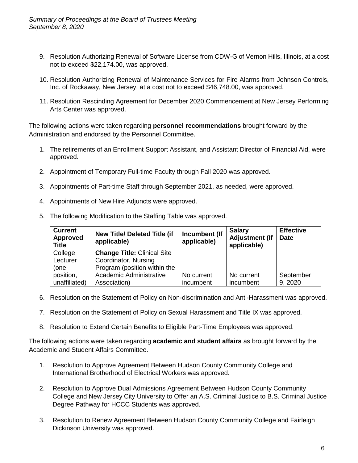- 9. Resolution Authorizing Renewal of Software License from CDW-G of Vernon Hills, Illinois, at a cost not to exceed \$22,174.00, was approved.
- 10. Resolution Authorizing Renewal of Maintenance Services for Fire Alarms from Johnson Controls, Inc. of Rockaway, New Jersey, at a cost not to exceed \$46,748.00, was approved.
- 11. Resolution Rescinding Agreement for December 2020 Commencement at New Jersey Performing Arts Center was approved.

The following actions were taken regarding **personnel recommendations** brought forward by the Administration and endorsed by the Personnel Committee.

- 1. The retirements of an Enrollment Support Assistant, and Assistant Director of Financial Aid, were approved.
- 2. Appointment of Temporary Full-time Faculty through Fall 2020 was approved.
- 3. Appointments of Part-time Staff through September 2021, as needed, were approved.
- 4. Appointments of New Hire Adjuncts were approved.

| <b>Current</b><br><b>Approved</b><br><b>Title</b> | <b>New Title/ Deleted Title (if</b><br>applicable) | Incumbent (If<br>applicable) | <b>Salary</b><br><b>Adjustment (If</b><br>applicable) | <b>Effective</b><br><b>Date</b> |
|---------------------------------------------------|----------------------------------------------------|------------------------------|-------------------------------------------------------|---------------------------------|
| College                                           | <b>Change Title: Clinical Site</b>                 |                              |                                                       |                                 |
| Lecturer                                          | Coordinator, Nursing                               |                              |                                                       |                                 |
| (one                                              | Program (position within the                       |                              |                                                       |                                 |
| position,                                         | Academic Administrative                            | No current                   | No current                                            | September                       |
| unaffiliated)                                     | Association)                                       | incumbent                    | incumbent                                             | 9, 2020                         |

5. The following Modification to the Staffing Table was approved.

- 6. Resolution on the Statement of Policy on Non-discrimination and Anti-Harassment was approved.
- 7. Resolution on the Statement of Policy on Sexual Harassment and Title IX was approved.
- 8. Resolution to Extend Certain Benefits to Eligible Part-Time Employees was approved.

The following actions were taken regarding **academic and student affairs** as brought forward by the Academic and Student Affairs Committee.

- 1. Resolution to Approve Agreement Between Hudson County Community College and International Brotherhood of Electrical Workers was approved.
- 2. Resolution to Approve Dual Admissions Agreement Between Hudson County Community College and New Jersey City University to Offer an A.S. Criminal Justice to B.S. Criminal Justice Degree Pathway for HCCC Students was approved.
- 3. Resolution to Renew Agreement Between Hudson County Community College and Fairleigh Dickinson University was approved.